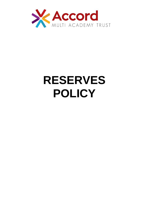

# **RESERVES POLICY**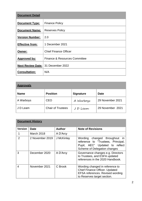| <b>Document Detail</b>   |                               |  |
|--------------------------|-------------------------------|--|
| <b>Document Type:</b>    | <b>Finance Policy</b>         |  |
| <b>Document Name:</b>    | <b>Reserves Policy</b>        |  |
| <b>Version Number:</b>   | 2.0                           |  |
| <b>Effective from:</b>   | 1 December 2021               |  |
| <b>Owner:</b>            | <b>Chief Finance Officer</b>  |  |
| <b>Approved by:</b>      | Finance & Resources Committee |  |
| <b>Next Review Date:</b> | 31 December 2022              |  |
| <b>Consultation:</b>     | N/A                           |  |

| <b>Approvals</b> |                          |                  |                  |  |
|------------------|--------------------------|------------------|------------------|--|
| <b>Name</b>      | <b>Position</b>          | <b>Signature</b> | <b>Date</b>      |  |
| A Warboys        | <b>CEO</b>               | A Warboys        | 29 November 2021 |  |
| J D Leam         | <b>Chair of Trustees</b> | JD Leam          | 29 November 2021 |  |

| <b>Document History</b> |                 |               |                                                                                                                                                     |  |  |
|-------------------------|-----------------|---------------|-----------------------------------------------------------------------------------------------------------------------------------------------------|--|--|
| <b>Version</b>          | <b>Date</b>     | <b>Author</b> | <b>Note of Revisions</b>                                                                                                                            |  |  |
|                         | March 2018      | A D'Arcy      |                                                                                                                                                     |  |  |
| $\overline{2}$          | 2 November 2019 | J McKinlay    | Wording changed throughout<br>$\mathsf{In}$<br>reference to "Trustees, Principal,<br>Pupil, AEC" Updated to reflect<br>Scheme of Delegation changes |  |  |
| 3                       | December 2020   | A D'Arcy      | Governance changes e.g. Directors<br>to Trustees, and ESFA updated<br>references in the 2020 Handbook.                                              |  |  |
| 4                       | November 2021   | C Brook       | Wording changed in reference to<br><b>Chief Finance Officer. Updated</b><br>EFSA references. Revised wording<br>to Reserves target section.         |  |  |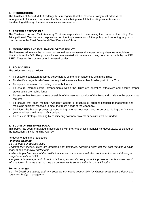#### **1. INTRODUCTION**

The Trustees of Accord Multi Academy Trust recognise that the Reserves Policy must address the management of financial risk across the Trust, whilst being mindful that existing students are not disadvantaged through the retention of excessive reserves.

#### **2. PERSON RESPONSIBLE**

The Trustees of Accord Multi Academy Trust are responsible for determining the content of the policy. The Principal/Head Teacher are responsible for the implementation of the policy and reporting any noncompliance to the Trust Board and Chief Executive Officer.

#### **3. MONITORING AND EVALUATION OF THE POLICY**

The Trustees will review the policy on an annual basis to assess the impact of any changes in legislation or direction from the DfE. The policy will also be evaluated with reference to any comments made by the DfE, ESFA, Trust auditors or any other interested parties.

#### **4. POLICY AIMS**

The policy aims are as follows:

- To ensure a consistent reserves policy across all member academies within the Trust.
- To identify a target level of reserves required across each member Academy within the Trust.
- To explain the reason for holding reserve balances.
- To ensure internal control arrangements within the Trust are operating effectively and assure proper stewardship over public funds.
- To ensure that Trustees receive oversight of the reserves position of the Trust and challenge this position as required.
- To ensure that each member Academy adopts a structure of prudent financial management and maintains sufficient reserves to meet the future needs of the Academy.
- To inform the budget process by considering whether reserves need to be used during the financial year to address an in-year deficit budget.
- To assist in strategic planning by considering how new projects or activities will be funded.

#### **5. SCOPE OF RESERVES POLICY**

This policy has been formulated in accordance with the Academies Financial Handbook 2020, published by the Education & Skills Funding Agency.

As documented in the handbook:

#### *Financial planning*

*2.8 The board of trustees must:*

• *ensure that financial plans are prepared and monitored, satisfying itself that the trust remains a going concern and financially sustainable* 

• *take a longer term view of the trust's financial plans consistent with the requirement to submit three-year budget forecasts to ESFA* 

• *as part of its management of the trust's funds, explain its policy for holding reserves in its annual report. Information on how the trust must report on reserves is set out in the Accounts Direction.* 

#### *Setting a budget*

*2.9 The board of trustees, and any separate committee responsible for finance, must ensure rigour and scrutiny in budget management.*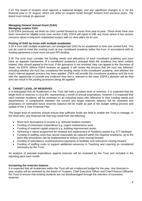*2.10 The board of trustees must approve a balanced budget, and any significant changes to it, for the financial year to 31 August, which can draw on unspent funds brought forward from previous years. The board must minute its approval.*

### *Managing General Annual Grant (GAG)*

#### *Managing surplus GAG*

*5.29 ESFA previously set limits on GAG carried forward by trusts from year-to-year. These limits have now been removed for eligible trusts (see section 5.60). ESFA will report to DfE any trusts where it has serious concerns about a long-term substantial surplus with no clear plans for its use.* 

#### *Pooling of GAG by trusts with multiple academies*

*5.30 A trust with multiple academies can amalgamate GAG for its academies to form one central fund. This can be used to meet the running costs at any constituent academy within the trust. In accordance with its funding agreement a trust must not pool PFI funding.* 

*5.30 The trust must consider the funding needs and allocations of each constituent academy and must have an appeals mechanism. If a constituent academy's principal feels the academy has been unfairly treated, they should appeal to the trust. If the grievance is not resolved, they can appeal to the Secretary of State, via ESFA. Where ESFA receives an appeal, it will review the process that the trust has followed, including whether the trust has considered the funding needs of the constituent academy, and whether the trust's internal appeals process has been applied. ESFA will provide the constituent academy and the trust with the opportunity to provide any evidence they feel is relevant to the case. ESFA's decision will be final and can result in the pooling provisions being dis-applied.* 

#### **6. TARGET LEVEL OF RESERVES**

It is anticipated that all Academies in the Trust will hold a prudent level of reserves. It is expected that the target level of reserves is circa 8%, representing 1 month of annual expenditure, however it is expected that each member Academy will be reviewed on an individual basis with reference to their funding needs and requirements. A comparative between the current and target reserves balance will be reviewed and projections on estimated future reserves balance will be made as part of the budget setting process and update of the 3 Year Financial Plan.

The target level of reserves should ensure that sufficient funds are held to enable the Trust to manage, in the short term, any financial risk that may result from the following:

- Short term fluctuations in income e.g. reduced student numbers.
- Funding of unforeseen expenditure e.g. urgent maintenance work.
- Funding of material capital projects e.g. building improvement works.
- Delivering a robust programme for renewal and replacement of Academy assets e.g. ICT hardware.
- Funding of staffing costs that cannot reasonably be reduced within the required timeframe, up to the point that procedures can be implemented to reduce costs moving forward.
- Funding of redundancy costs/severance payments to facilitate cost reductions moving forward.
- Funding of staffing costs to support additional resources in Teaching and Learning as considered necessary by the Trust.

An analysis of planned expenditure against reserves will be reviewed by the Trust and included in the reporting pack each month.

#### **Increasing the reserves balance**

It is expected that all Academies within the Trust will set a balanced budget for the year. Any forecast inyear surplus will be reviewed by the Board of Trustees, Chief Executive Officer and Chief Finance Officerfor the Trust to ensure that existing students are not disadvantaged through the retention of excessive reserves.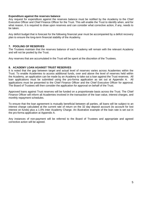#### **Expenditure against the reserves balance**

Any request for expenditure against the reserves balance must be notified by the Academy to the Chief Executive Officer and Chief Finance Officer for the Trust. This will enable the Trust to identify when, and for what reason, it is required to draw upon reserves and can consider what corrective action, if any, needs to be taken.

Any deficit budget that is forecast for the following financial year must be accompanied by a deficit recovery plan to ensure the long-term financial stability of the Academy.

#### **7. POOLING OF RESERVES**

The Trustees maintain that the reserves balance of each Academy will remain with the relevant Academy and will not be pooled by the Trust.

Any reserves that are accumulated in the Trust will be spent at the discretion of the Trustees.

#### **8. ACADEMY LOAN AGAINST TRUST RESERVES**

It is noted that the gap between target and actual level of reserves varies across Academies within the Trust. To enable Academies to access additional funds, over and above the level of reserves held within the Academy, an application can be made by an Academy to take out a loan against the Trust reserves. All loan applications must be submitted using the pro-forma application as set out at Appendix A. All applications must be presented to the Chief Finance Officer and the Chief Executive Officer for approval. The Board of Trustees will then consider the application for approval on behalf of the Trust.

Approved loans against Trust reserves will be funded on a proportionate basis across the Trust. The Chief Finance Officer will inform all Academies involved in the transaction of the loan value, interest charges, and monthly repayment schedules.

To ensure that the loan agreement is mutually beneficial between all parties, all loans will be subject to an interest charge calculated at the current rate of return on the 32 day deposit account (to account for lost interest on funds) plus a 1.0% Inter Academy Charge. An illustrative example of the loan rate is set out in the pro-forma application at Appendix A.

Any instances of non-payment will be referred to the Board of Trustees and appropriate and agreed corrective action will be agreed.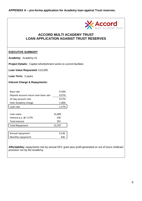

## **ACCORD MULTI ACADEMY TRUST LOAN APPLICATION AGAINST TRUST RESERVES**

#### **EXECUTIVE SUMMARY**

**Academy:** Academy #1

**Project Details:** Capital refurbishment works to current facilities

**Loan Value Requested:** £15,000

**Loan Term:** 3 years

#### **Interest Charge & Repayments:**

| Base rate                             | 0.50%  |
|---------------------------------------|--------|
| Deposit account return over base rate | 0.07%  |
| 32 day account rate                   | 0.57%  |
| Inter Academy charge                  | 1.00%  |
| Loan rate                             | 1.57%  |
|                                       |        |
| Loan value                            | 15,000 |
| Interest p.a. @ 1.57%                 | 236    |
| <b>Total interest</b>                 | 707    |
| <b>Total Repayment</b>                | 15,707 |
|                                       |        |
| Annual repayment                      | 5,236  |
| Monthly repayment                     | 436    |

**Affordability:** repayments met by annual DFC grant plus profit generated on out of hours childcare provision run by the Academy.